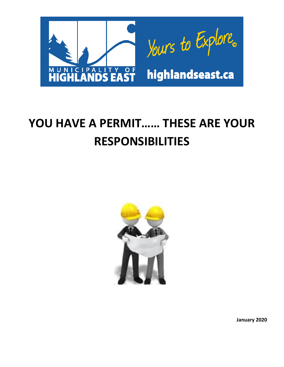

# **YOU HAVE A PERMIT…… THESE ARE YOUR RESPONSIBILITIES**



**January 2020**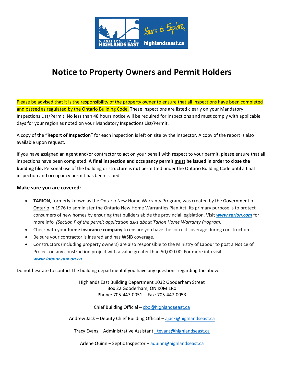

# **Notice to Property Owners and Permit Holders**

Please be advised that it is the responsibility of the property owner to ensure that all inspections have been completed and passed as regulated by the Ontario Building Code. These inspections are listed clearly on your Mandatory Inspections List/Permit. No less than 48 hours notice will be required for inspections and must comply with applicable days for your region as noted on your Mandatory Inspections List/Permit.

A copy of the **"Report of Inspection"** for each inspection is left on site by the inspector. A copy of the report is also available upon request.

If you have assigned an agent and/or contractor to act on your behalf with respect to your permit, please ensure that all inspections have been completed. **A final inspection and occupancy permit must be issued in order to close the building file.** Personal use of the building or structure is **not** permitted under the Ontario Building Code until a final inspection and occupancy permit has been issued.

#### **Make sure you are covered:**

- **TARION**, formerly known as the Ontario New Home Warranty Program, was created by the Government of Ontario in 1976 to administer the Ontario New Home Warranties Plan Act. Its primary purpose is to protect consumers of new homes by ensuring that builders abide the provincial legislation. Visit *[www.tarion.com](http://www.tarion.com)* for more info *(Section F of the permit application asks about Tarion Home Warranty Program)*
- Check with your **home insurance company** to ensure you have the correct coverage during construction.
- Be sure your contractor is insured and has **WSIB** coverage.
- Constructors (including property owners) are also responsible to the Ministry of Labour to post a Notice of Project on any construction project with a value greater than 50,000.00. For more info visit *[www.labour.gov.on.ca](http://www.labour.gov.on.ca)*

Do not hesitate to contact the building department if you have any questions regarding the above.

Highlands East Building Department 1032 Gooderham Street Box 22 Gooderham, ON K0M 1R0 Phone: 705-447-0051 Fax: 705-447-0053

Chief Building Official – [cbo@highlandseast.ca](mailto:cbo@highlandseast.ca)

Andrew Jack – Deputy Chief Building Official – [ajack@highlandseast.ca](mailto:ajack@highlandseast.ca)

Tracy Evans – Administrative Assistant –[tevans@highlandseast.ca](mailto:tevans@highlandseast.ca)

Arlene Quinn – Septic Inspector – [aquinn@highlandseast.ca](mailto:aquinn@highlandseast.ca)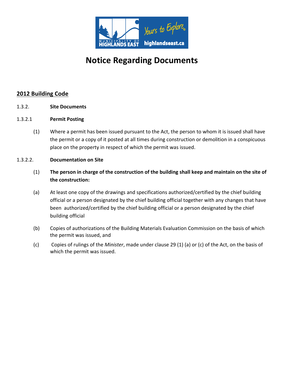

# **Notice Regarding Documents**

### **2012 Building Code**

- 1.3.2. **Site Documents**
- 1.3.2.1 **Permit Posting**
	- (1) Where a permit has been issued pursuant to the Act, the person to whom it is issued shall have the permit or a copy of it posted at all times during construction or demolition in a conspicuous place on the property in respect of which the permit was issued.

#### 1.3.2.2. **Documentation on Site**

- (1) **The person in charge of the construction of the building shall keep and maintain on the site of the construction:**
- (a) At least one copy of the drawings and specifications authorized/certified by the chief building official or a person designated by the chief building official together with any changes that have been authorized/certified by the chief building official or a person designated by the chief building official
- (b) Copies of authorizations of the Building Materials Evaluation Commission on the basis of which the permit was issued, and
- (c) Copies of rulings of the *Minister*, made under clause 29 (1) (a) or (c) of the Act, on the basis of which the permit was issued.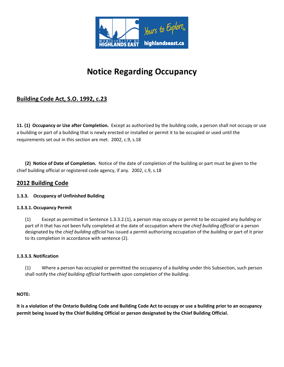

# **Notice Regarding Occupancy**

# **Building Code Act, S.O. 1992, c.23**

**11. (1) Occupancy or Use after Completion.** Except as authorized by the building code, a person shall not occupy or use a building or part of a building that is newly erected or installed or permit it to be occupied or used until the requirements set out in this section are met. 2002, c.9, s.18

**(2) Notice of Date of Completion.** Notice of the date of completion of the building or part must be given to the chief building official or registered code agency, if any. 2002, c.9, s.18

#### **2012 Building Code**

#### **1.3.3. Occupancy of Unfinished Building**

#### **1.3.3.1. Occupancy Permit**

(1) Except as permitted in Sentence 1.3.3.2.(1), a person may occupy or permit to be occupied any *building* or part of it that has not been fully completed at the date of occupation where the *chief building official* or a person designated by the *chief building official* has issued a permit authorizing occupation of the *building* or part of it prior to its completion in accordance with sentence (2).

#### **1.3.3.3. Notification**

(1) Where a person has occupied or permitted the occupancy of a *building* under this Subsection, such person shall notify the *chief building official* forthwith upon completion of the *building*.

#### **NOTE:**

**It is a violation of the Ontario Building Code and Building Code Act to occupy or use a building prior to an occupancy permit being issued by the Chief Building Official or person designated by the Chief Building Official.**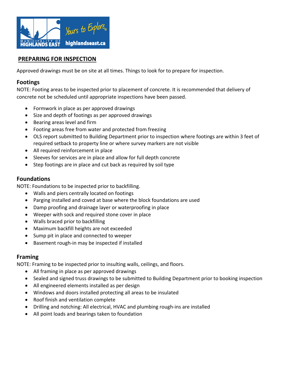

## **PREPARING FOR INSPECTION**

Approved drawings must be on site at all times. Things to look for to prepare for inspection.

#### **Footings**

NOTE: Footing areas to be inspected prior to placement of concrete. It is recommended that delivery of concrete not be scheduled until appropriate inspections have been passed.

- Formwork in place as per approved drawings
- Size and depth of footings as per approved drawings
- Bearing areas level and firm
- Footing areas free from water and protected from freezing
- OLS report submitted to Building Department prior to inspection where footings are within 3 feet of required setback to property line or where survey markers are not visible
- All required reinforcement in place
- Sleeves for services are in place and allow for full depth concrete
- Step footings are in place and cut back as required by soil type

#### **Foundations**

NOTE: Foundations to be inspected prior to backfilling.

- Walls and piers centrally located on footings
- Parging installed and coved at base where the block foundations are used
- Damp proofing and drainage layer or waterproofing in place
- Weeper with sock and required stone cover in place
- Walls braced prior to backfilling
- Maximum backfill heights are not exceeded
- Sump pit in place and connected to weeper
- Basement rough-in may be inspected if installed

#### **Framing**

NOTE: Framing to be inspected prior to insulting walls, ceilings, and floors.

- All framing in place as per approved drawings
- Sealed and signed truss drawings to be submitted to Building Department prior to booking inspection
- All engineered elements installed as per design
- Windows and doors installed protecting all areas to be insulated
- Roof finish and ventilation complete
- Drilling and notching: All electrical, HVAC and plumbing rough-ins are installed
- All point loads and bearings taken to foundation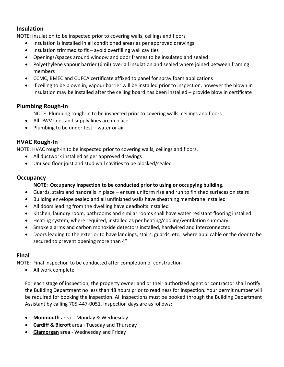### **Insulation**

NOTE: Insulation to be inspected prior to covering walls, ceilings and floors

- Insulation is installed in all conditioned areas as per approved drawings
- Insulation trimmed to fit avoid overfilling wall cavities
- Openings/spaces around window and door frames to be insulated and sealed
- Polyethylene vapour barrier (6mil) over all insulation and sealed where joined between framing members
- CCMC, BMEC and CUFCA certificate affixed to panel for spray foam applications
- If ceiling to be blown in, vapour barrier will be installed prior to inspection, however the blown in insulation may be installed after the ceiling board has been installed – provide blow in certificate

### **Plumbing Rough-In**

NOTE: Plumbing rough-in to be inspected prior to covering walls, ceilings and floors

- All DWV lines and supply lines are in place
- Plumbing to be under test water or air

### **HVAC Rough-In**

NOTE: HVAC rough-in to be inspected prior to covering walls, ceilings and floors.

- All ductwork installed as per approved drawings
- Unused floor joist and stud wall cavities to be blocked/sealed

### **Occupancy**

#### **NOTE: Occupancy Inspection to be conducted prior to using or occupying building.**

- Guards, stairs and handrails in place ensure uniform rise and run to finished surfaces on stairs
- Building envelope sealed and all unfinished walls have sheathing membrane installed
- All doors leading from the dwelling have deadbolts installed
- Kitchen, laundry room, bathrooms and similar rooms shall have water resistant flooring installed
- Heating system, where required, installed as per heating/cooling/ventilation summary
- Smoke alarms and carbon monoxide detectors installed, hardwired and interconnected
- Doors leading to the exterior to have landings, stairs, guards, etc., where applicable or the door to be secured to prevent opening more than 4"

### **Final**

NOTE: Final inspection to be conducted after completion of construction

• All work complete

For each stage of inspection, the property owner and or their authorized agent or contractor shall notify the Building Department no less than 48 hours prior to readiness for inspection. Your permit number will be required for booking the inspection. All inspections must be booked through the Building Department Assistant by calling 705-447-0051. Inspection days are as follows:

- **Monmouth** area Monday & Wednesday
- **Cardiff & Bicroft** area Tuesday and Thursday
- **Glamorgan** area Wednesday and Friday